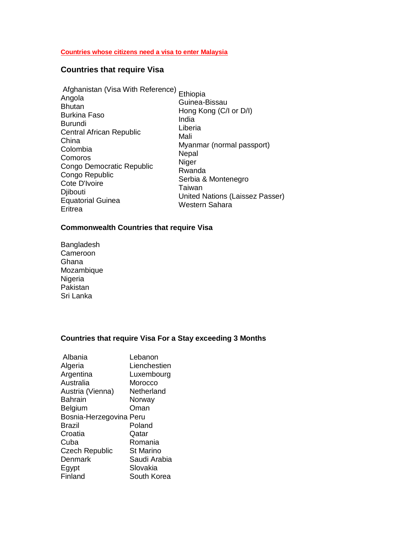#### **Countries whose citizens need a visa to enter Malaysia**

## **Countries that require Visa**

| Afghanistan (Visa With Reference)<br>Angola<br><b>Bhutan</b><br><b>Burkina Faso</b><br>Burundi<br>Central African Republic<br>China<br>Colombia<br>Comoros<br>Congo Democratic Republic<br>Congo Republic<br>Cote D'Ivoire<br><b>D</b> ibouti<br><b>Equatorial Guinea</b><br>Eritrea | Ethiopia<br>Guinea-Bissau<br>Hong Kong (C/I or D/I)<br>India<br>Liberia<br>Mali<br>Myanmar (normal passport)<br>Nepal<br>Niger<br>Rwanda<br>Serbia & Montenegro<br>Taiwan<br>United Nations (Laissez Passer)<br>Western Sahara |
|--------------------------------------------------------------------------------------------------------------------------------------------------------------------------------------------------------------------------------------------------------------------------------------|--------------------------------------------------------------------------------------------------------------------------------------------------------------------------------------------------------------------------------|
|--------------------------------------------------------------------------------------------------------------------------------------------------------------------------------------------------------------------------------------------------------------------------------------|--------------------------------------------------------------------------------------------------------------------------------------------------------------------------------------------------------------------------------|

### **Commonwealth Countries that require Visa**

Bangladesh Cameroon Ghana Mozambique Nigeria Pakistan Sri Lanka

### **Countries that require Visa For a Stay exceeding 3 Months**

| Albania                 | Lebanon          |
|-------------------------|------------------|
| Algeria                 | Lienchestien     |
| Argentina               | Luxembourg       |
| Australia               | Morocco          |
| Austria (Vienna)        | Netherland       |
| <b>Bahrain</b>          | Norway           |
| Belgium                 | Oman             |
| Bosnia-Herzegovina Peru |                  |
| Brazil                  | Poland           |
| Croatia                 | Qatar            |
| Cuba                    | Romania          |
| <b>Czech Republic</b>   | <b>St Marino</b> |
| Denmark                 | Saudi Arabia     |
| Egypt                   | Slovakia         |
| Finland                 | South Korea      |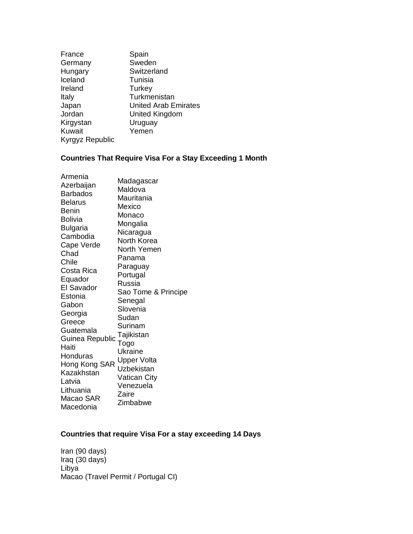| France          | Spain                       |
|-----------------|-----------------------------|
| Germany         | Sweden                      |
| Hungary         | Switzerland                 |
| Iceland         | Tunisia                     |
| Ireland         | <b>Turkey</b>               |
| Italy           | Turkmenistan                |
| Japan           | <b>United Arab Emirates</b> |
| Jordan          | United Kingdom              |
| Kirgystan       | Uruguay                     |
| Kuwait          | Yemen                       |
| Kyrgyz Republic |                             |

# **Countries That Require Visa For a Stay Exceeding 1 Month**

### **Countries that require Visa For a stay exceeding 14 Days**

Iran (90 days) Iraq (30 days) Libya Macao (Travel Permit / Portugal CI)